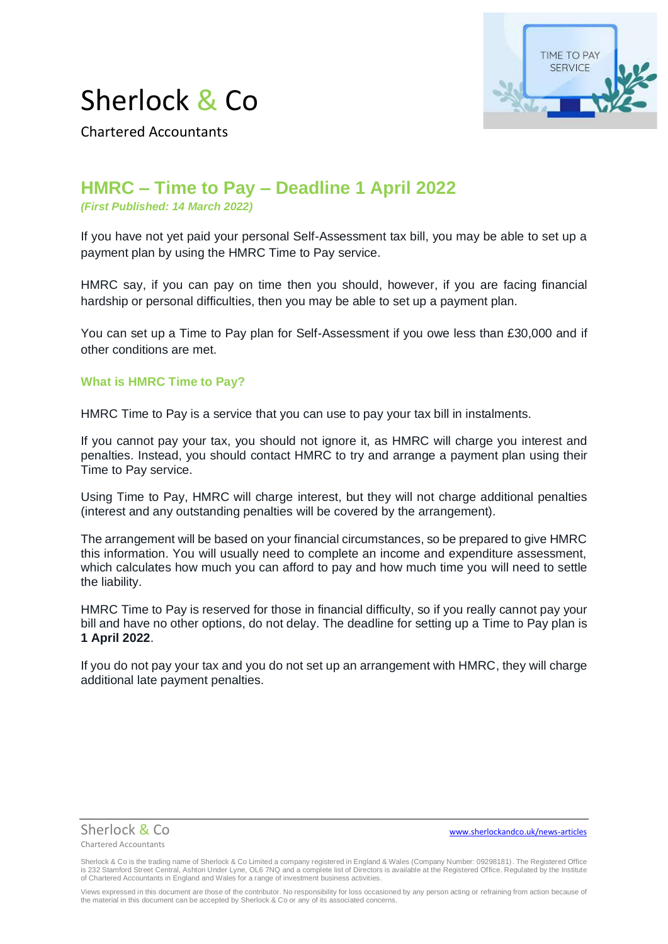



Chartered Accountants

# **HMRC – Time to Pay – Deadline 1 April 2022**

*(First Published: 14 March 2022)* 

If you have not yet paid your personal Self-Assessment tax bill, you may be able to set up a payment plan by using the HMRC Time to Pay service.

HMRC say, if you can pay on time then you should, however, if you are facing financial hardship or personal difficulties, then you may be able to set up a payment plan.

You can set up a Time to Pay plan for Self-Assessment if you owe less than £30,000 and if other conditions are met.

## **What is HMRC Time to Pay?**

HMRC Time to Pay is a service that you can use to pay your tax bill in instalments.

If you cannot pay your tax, you should not ignore it, as HMRC will charge you interest and penalties. Instead, you should contact HMRC to try and arrange a payment plan using their Time to Pay service.

Using Time to Pay, HMRC will charge interest, but they will not charge additional penalties (interest and any outstanding penalties will be covered by the arrangement).

The arrangement will be based on your financial circumstances, so be prepared to give HMRC this information. You will usually need to complete an income and expenditure assessment, which calculates how much you can afford to pay and how much time you will need to settle the liability.

HMRC Time to Pay is reserved for those in financial difficulty, so if you really cannot pay your bill and have no other options, do not delay. The deadline for setting up a Time to Pay plan is **1 April 2022**.

If you do not pay your tax and you do not set up an arrangement with HMRC, they will charge additional late payment penalties.



Sherlock & Co[www.sherlockandco.uk/news-articles](http://www.sherlockandco.uk/news-articles)

Sherlock & Co is the trading name of Sherlock & Co Limited a company registered in England & Wales (Company Number: 09298181). The Registered Office is 232 Stamford Street Central, Ashton Under Lyne, OL6 7NQ and a complete list of Directors is available at the Registered Office. Regulated by the Institute<br>of Chartered Accountants in England and Wales for a range of inv

Views expressed in this document are those of the contributor. No responsibility for loss occasioned by any person acting or refraining from action because of the material in this document can be accepted by Sherlock & Co or any of its associated concerns.